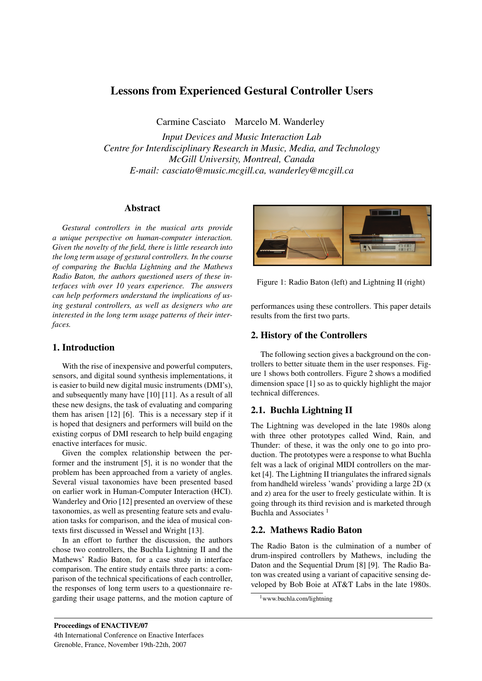# Lessons from Experienced Gestural Controller Users

Carmine Casciato Marcelo M. Wanderley

*Input Devices and Music Interaction Lab Centre for Interdisciplinary Research in Music, Media, and Technology McGill University, Montreal, Canada E-mail: casciato@music.mcgill.ca, wanderley@mcgill.ca*

### Abstract

*Gestural controllers in the musical arts provide a unique perspective on human-computer interaction. Given the novelty of the field, there is little research into the long term usage of gestural controllers. In the course of comparing the Buchla Lightning and the Mathews Radio Baton, the authors questioned users of these interfaces with over 10 years experience. The answers can help performers understand the implications of using gestural controllers, as well as designers who are interested in the long term usage patterns of their interfaces.*

## 1. Introduction

With the rise of inexpensive and powerful computers, sensors, and digital sound synthesis implementations, it is easier to build new digital music instruments (DMI's), and subsequently many have [10] [11]. As a result of all these new designs, the task of evaluating and comparing them has arisen [12] [6]. This is a necessary step if it is hoped that designers and performers will build on the existing corpus of DMI research to help build engaging enactive interfaces for music.

Given the complex relationship between the performer and the instrument [5], it is no wonder that the problem has been approached from a variety of angles. Several visual taxonomies have been presented based on earlier work in Human-Computer Interaction (HCI). Wanderley and Orio [12] presented an overview of these taxonomies, as well as presenting feature sets and evaluation tasks for comparison, and the idea of musical contexts first discussed in Wessel and Wright [13].

In an effort to further the discussion, the authors chose two controllers, the Buchla Lightning II and the Mathews' Radio Baton, for a case study in interface comparison. The entire study entails three parts: a comparison of the technical specifications of each controller, the responses of long term users to a questionnaire regarding their usage patterns, and the motion capture of



Figure 1: Radio Baton (left) and Lightning II (right)

performances using these controllers. This paper details results from the first two parts.

## 2. History of the Controllers

The following section gives a background on the controllers to better situate them in the user responses. Figure 1 shows both controllers. Figure 2 shows a modified dimension space [1] so as to quickly highlight the major technical differences.

# 2.1. Buchla Lightning II

The Lightning was developed in the late 1980s along with three other prototypes called Wind, Rain, and Thunder: of these, it was the only one to go into production. The prototypes were a response to what Buchla felt was a lack of original MIDI controllers on the market [4]. The Lightning II triangulates the infrared signals from handheld wireless 'wands' providing a large 2D (x and z) area for the user to freely gesticulate within. It is going through its third revision and is marketed through Buchla and Associates<sup>1</sup>

# 2.2. Mathews Radio Baton

The Radio Baton is the culmination of a number of drum-inspired controllers by Mathews, including the Daton and the Sequential Drum [8] [9]. The Radio Baton was created using a variant of capacitive sensing developed by Bob Boie at AT&T Labs in the late 1980s.

<sup>1</sup>www.buchla.com/lightning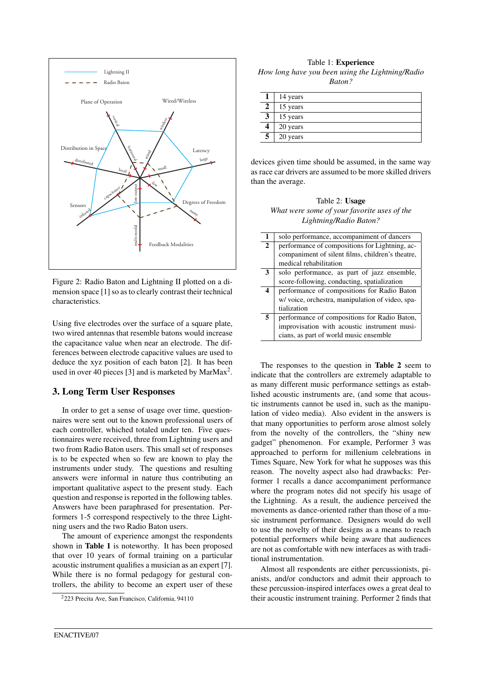

Figure 2: Radio Baton and Lightning II plotted on a dimension space [1] so as to clearly contrast their technical characteristics.

Using five electrodes over the surface of a square plate, two wired antennas that resemble batons would increase the capacitance value when near an electrode. The differences between electrode capacitive values are used to deduce the xyz position of each baton [2]. It has been used in over 40 pieces [3] and is marketed by MarMax<sup>2</sup>.

### 3. Long Term User Responses

In order to get a sense of usage over time, questionnaires were sent out to the known professional users of each controller, whiched totaled under ten. Five questionnaires were received, three from Lightning users and two from Radio Baton users. This small set of responses is to be expected when so few are known to play the instruments under study. The questions and resulting answers were informal in nature thus contributing an important qualitative aspect to the present study. Each question and response is reported in the following tables. Answers have been paraphrased for presentation. Performers 1-5 correspond respectively to the three Lightning users and the two Radio Baton users.

The amount of experience amongst the respondents shown in Table 1 is noteworthy. It has been proposed that over 10 years of formal training on a particular acoustic instrument qualifies a musician as an expert [7]. While there is no formal pedagogy for gestural controllers, the ability to become an expert user of these

Table 1: Experience *How long have you been using the Lightning/Radio Baton?*

|   | 14 years |
|---|----------|
| 2 | 15 years |
| 3 | 15 years |
|   | 20 years |
|   | 20 years |

devices given time should be assumed, in the same way as race car drivers are assumed to be more skilled drivers than the average.

Table 2: Usage *What were some of your favorite uses of the Lightning/Radio Baton?*

| 1            | solo performance, accompaniment of dancers       |
|--------------|--------------------------------------------------|
| $\mathbf{2}$ | performance of compositions for Lightning, ac-   |
|              | companiment of silent films, children's theatre, |
|              | medical rehabilitation                           |
| 3            | solo performance, as part of jazz ensemble,      |
|              | score-following, conducting, spatialization      |
| 4            | performance of compositions for Radio Baton      |
|              | w/ voice, orchestra, manipulation of video, spa- |
|              | tialization                                      |
| 5            | performance of compositions for Radio Baton,     |
|              | improvisation with acoustic instrument musi-     |
|              | cians, as part of world music ensemble           |

The responses to the question in Table 2 seem to indicate that the controllers are extremely adaptable to as many different music performance settings as established acoustic instruments are, (and some that acoustic instruments cannot be used in, such as the manipulation of video media). Also evident in the answers is that many opportunities to perform arose almost solely from the novelty of the controllers, the "shiny new gadget" phenomenon. For example, Performer 3 was approached to perform for millenium celebrations in Times Square, New York for what he supposes was this reason. The novelty aspect also had drawbacks: Performer 1 recalls a dance accompaniment performance where the program notes did not specify his usage of the Lightning. As a result, the audience perceived the movements as dance-oriented rather than those of a music instrument performance. Designers would do well to use the novelty of their designs as a means to reach potential performers while being aware that audiences are not as comfortable with new interfaces as with traditional instrumentation.

Almost all respondents are either percussionists, pianists, and/or conductors and admit their approach to these percussion-inspired interfaces owes a great deal to their acoustic instrument training. Performer 2 finds that

<sup>2</sup>223 Precita Ave, San Francisco, California, 94110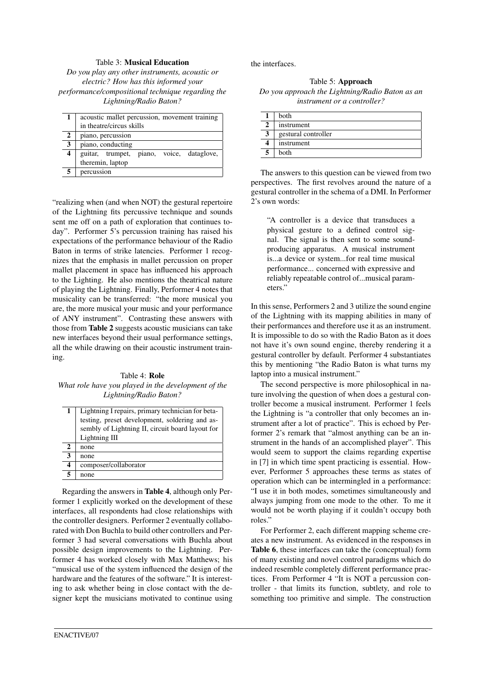### Table 3: Musical Education

*Do you play any other instruments, acoustic or electric? How has this informed your performance/compositional technique regarding the Lightning/Radio Baton?*

|                         | acoustic mallet percussion, movement training |
|-------------------------|-----------------------------------------------|
|                         | in theatre/circus skills                      |
| 2                       | piano, percussion                             |
| 3                       | piano, conducting                             |
| $\overline{\mathbf{4}}$ | piano, voice, dataglove,<br>guitar, trumpet,  |
|                         | theremin, laptop                              |
| 5                       | percussion                                    |

"realizing when (and when NOT) the gestural repertoire of the Lightning fits percussive technique and sounds sent me off on a path of exploration that continues today". Performer 5's percussion training has raised his expectations of the performance behaviour of the Radio Baton in terms of strike latencies. Performer 1 recognizes that the emphasis in mallet percussion on proper mallet placement in space has influenced his approach to the Lighting. He also mentions the theatrical nature of playing the Lightning. Finally, Performer 4 notes that musicality can be transferred: "the more musical you are, the more musical your music and your performance of ANY instrument". Contrasting these answers with those from Table 2 suggests acoustic musicians can take new interfaces beyond their usual performance settings, all the while drawing on their acoustic instrument training.

#### Table 4: Role *What role have you played in the development of the Lightning/Radio Baton?*

|   | Lightning I repairs, primary technician for beta- |
|---|---------------------------------------------------|
|   | testing, preset development, soldering and as-    |
|   | sembly of Lightning II, circuit board layout for  |
|   | Lightning III                                     |
| 2 | none                                              |
| 3 | none                                              |
| 4 | composer/collaborator                             |
| 5 | none                                              |

Regarding the answers in Table 4, although only Performer 1 explicitly worked on the development of these interfaces, all respondents had close relationships with the controller designers. Performer 2 eventually collaborated with Don Buchla to build other controllers and Performer 3 had several conversations with Buchla about possible design improvements to the Lightning. Performer 4 has worked closely with Max Matthews; his "musical use of the system influenced the design of the hardware and the features of the software." It is interesting to ask whether being in close contact with the designer kept the musicians motivated to continue using the interfaces.

Table 5: Approach *Do you approach the Lightning/Radio Baton as an instrument or a controller?*

|   | <b>both</b>         |
|---|---------------------|
|   | instrument          |
| 2 | gestural controller |
|   | instrument          |
|   | both                |

The answers to this question can be viewed from two perspectives. The first revolves around the nature of a gestural controller in the schema of a DMI. In Performer 2's own words:

"A controller is a device that transduces a physical gesture to a defined control signal. The signal is then sent to some soundproducing apparatus. A musical instrument is...a device or system...for real time musical performance... concerned with expressive and reliably repeatable control of...musical parameters."

In this sense, Performers 2 and 3 utilize the sound engine of the Lightning with its mapping abilities in many of their performances and therefore use it as an instrument. It is impossible to do so with the Radio Baton as it does not have it's own sound engine, thereby rendering it a gestural controller by default. Performer 4 substantiates this by mentioning "the Radio Baton is what turns my laptop into a musical instrument."

The second perspective is more philosophical in nature involving the question of when does a gestural controller become a musical instrument. Performer 1 feels the Lightning is "a controller that only becomes an instrument after a lot of practice". This is echoed by Performer 2's remark that "almost anything can be an instrument in the hands of an accomplished player". This would seem to support the claims regarding expertise in [7] in which time spent practicing is essential. However, Performer 5 approaches these terms as states of operation which can be intermingled in a performance: "I use it in both modes, sometimes simultaneously and always jumping from one mode to the other. To me it would not be worth playing if it couldn't occupy both roles."

For Performer 2, each different mapping scheme creates a new instrument. As evidenced in the responses in Table 6, these interfaces can take the (conceptual) form of many existing and novel control paradigms which do indeed resemble completely different performance practices. From Performer 4 "It is NOT a percussion controller - that limits its function, subtlety, and role to something too primitive and simple. The construction